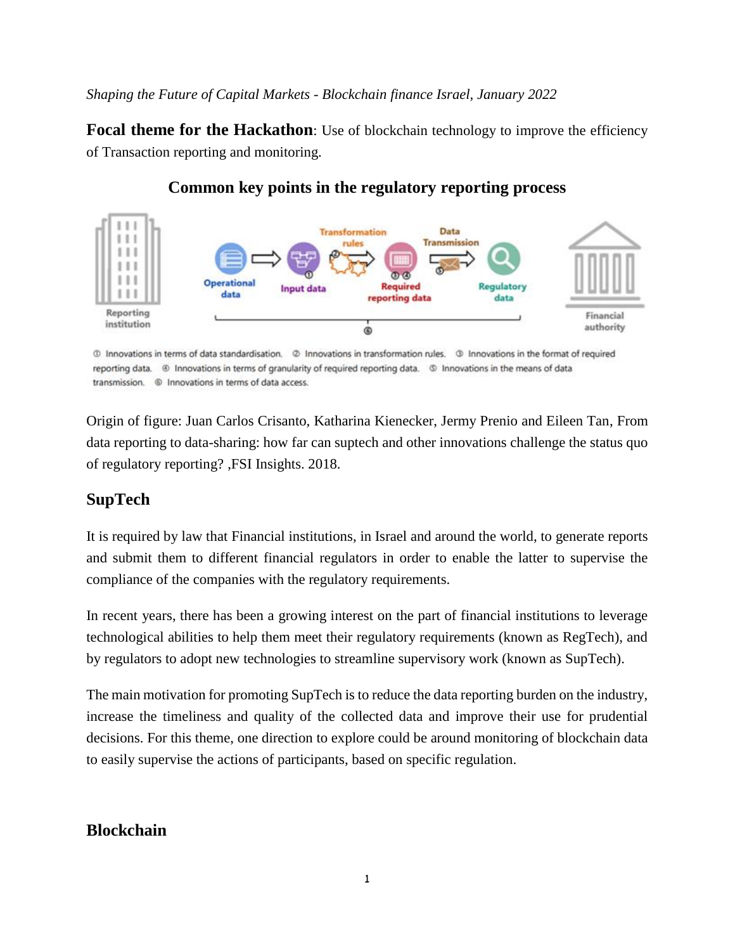*Shaping the Future of Capital Markets - Blockchain finance Israel, January 2022* 

**Focal theme for the Hackathon**: Use of blockchain technology to improve the efficiency of Transaction reporting and monitoring.



# **Common key points in the regulatory reporting process**

10 Innovations in terms of data standardisation. 2 Innovations in transformation rules. 3 Innovations in the format of required reporting data. @ Innovations in terms of granularity of required reporting data. @ Innovations in the means of data 

Origin of figure: Juan Carlos Crisanto, Katharina Kienecker, Jermy Prenio and Eileen Tan, From data reporting to data-sharing: how far can suptech and other innovations challenge the status quo of regulatory reporting? ,FSI Insights. 2018.

## **SupTech**

It is required by law that Financial institutions, in Israel and around the world, to generate reports and submit them to different financial regulators in order to enable the latter to supervise the compliance of the companies with the regulatory requirements.

In recent years, there has been a growing interest on the part of financial institutions to leverage technological abilities to help them meet their regulatory requirements (known as RegTech), and by regulators to adopt new technologies to streamline supervisory work (known as SupTech).

The main motivation for promoting SupTech is to reduce the data reporting burden on the industry, increase the timeliness and quality of the collected data and improve their use for prudential decisions. For this theme, one direction to explore could be around monitoring of blockchain data to easily supervise the actions of participants, based on specific regulation.

## **Blockchain**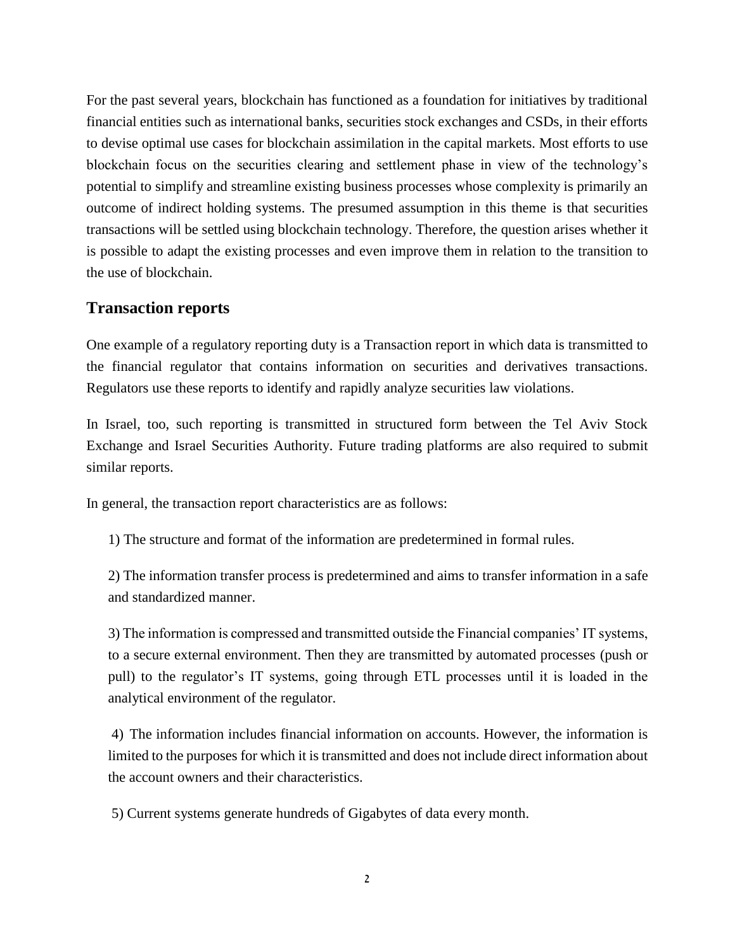For the past several years, blockchain has functioned as a foundation for initiatives by traditional financial entities such as international banks, securities stock exchanges and CSDs, in their efforts to devise optimal use cases for blockchain assimilation in the capital markets. Most efforts to use blockchain focus on the securities clearing and settlement phase in view of the technology's potential to simplify and streamline existing business processes whose complexity is primarily an outcome of indirect holding systems. The presumed assumption in this theme is that securities transactions will be settled using blockchain technology. Therefore, the question arises whether it is possible to adapt the existing processes and even improve them in relation to the transition to the use of blockchain.

### **Transaction reports**

One example of a regulatory reporting duty is a Transaction report in which data is transmitted to the financial regulator that contains information on securities and derivatives transactions. Regulators use these reports to identify and rapidly analyze securities law violations.

In Israel, too, such reporting is transmitted in structured form between the Tel Aviv Stock Exchange and Israel Securities Authority. Future trading platforms are also required to submit similar reports.

In general, the transaction report characteristics are as follows:

1) The structure and format of the information are predetermined in formal rules.

2) The information transfer process is predetermined and aims to transfer information in a safe and standardized manner.

3) The information is compressed and transmitted outside the Financial companies' IT systems, to a secure external environment. Then they are transmitted by automated processes (push or pull) to the regulator's IT systems, going through ETL processes until it is loaded in the analytical environment of the regulator.

4) The information includes financial information on accounts. However, the information is limited to the purposes for which it is transmitted and does not include direct information about the account owners and their characteristics.

5) Current systems generate hundreds of Gigabytes of data every month.